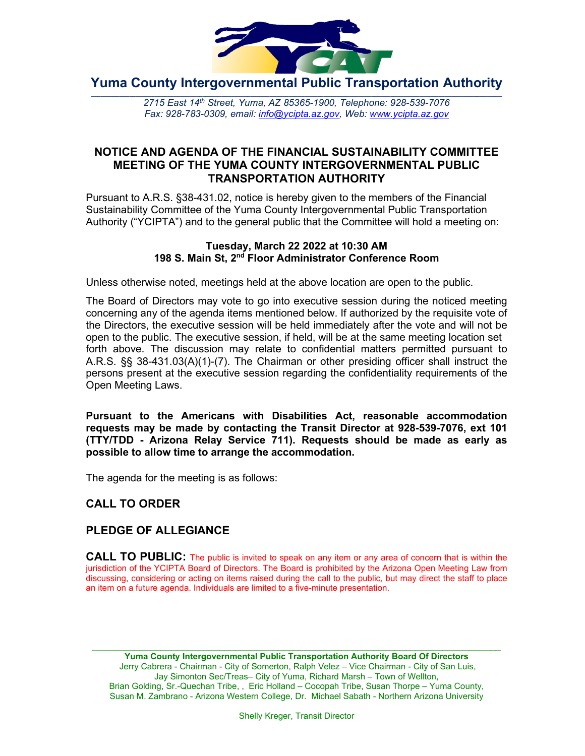

**Yuma County Intergovernmental Public Transportation Authority**

2715 East 14th Street, Yuma, AZ 85365-1900, Telephone: 928-539-7076 *Fax: 928-783-0309, email: [info@ycipta.az.gov,](mailto:info@ycipta.az.gov) Web: [www.ycipta.az.gov](http://www.ycipta.az.gov/)*

# **NOTICE AND AGENDA OF THE FINANCIAL SUSTAINABILITY COMMITTEE MEETING OF THE YUMA COUNTY INTERGOVERNMENTAL PUBLIC TRANSPORTATION AUTHORITY**

Pursuant to A.R.S. §38-431.02, notice is hereby given to the members of the Financial Sustainability Committee of the Yuma County Intergovernmental Public Transportation Authority ("YCIPTA") and to the general public that the Committee will hold a meeting on:

#### **Tuesday, March 22 2022 at 10:30 AM 198 S. Main St, 2nd Floor Administrator Conference Room**

Unless otherwise noted, meetings held at the above location are open to the public.

The Board of Directors may vote to go into executive session during the noticed meeting concerning any of the agenda items mentioned below. If authorized by the requisite vote of the Directors, the executive session will be held immediately after the vote and will not be open to the public. The executive session, if held, will be at the same meeting location set forth above. The discussion may relate to confidential matters permitted pursuant to A.R.S. §§ 38-431.03(A)(1)-(7). The Chairman or other presiding officer shall instruct the persons present at the executive session regarding the confidentiality requirements of the Open Meeting Laws.

**Pursuant to the Americans with Disabilities Act, reasonable accommodation requests may be made by contacting the Transit Director at 928-539-7076, ext 101 (TTY/TDD - Arizona Relay Service 711). Requests should be made as early as possible to allow time to arrange the accommodation.**

The agenda for the meeting is as follows:

# **CALL TO ORDER**

# **PLEDGE OF ALLEGIANCE**

**CALL TO PUBLIC:** The public is invited to speak on any item or any area of concern that is within the jurisdiction of the YCIPTA Board of Directors. The Board is prohibited by the Arizona Open Meeting Law from discussing, considering or acting on items raised during the call to the public, but may direct the staff to place an item on a future agenda. Individuals are limited to a five-minute presentation.

\_\_\_\_\_\_\_\_\_\_\_\_\_\_\_\_\_\_\_\_\_\_\_\_\_\_\_\_\_\_\_\_\_\_\_\_\_\_\_\_\_\_\_\_\_\_\_\_\_\_\_\_\_\_\_\_\_\_\_\_\_\_\_\_\_\_\_\_\_\_\_\_\_\_\_\_\_ **Yuma County Intergovernmental Public Transportation Authority Board Of Directors** Jerry Cabrera - Chairman - City of Somerton, Ralph Velez – Vice Chairman - City of San Luis, Jay Simonton Sec/Treas– City of Yuma, Richard Marsh – Town of Wellton, Brian Golding, Sr.-Quechan Tribe, , Eric Holland – Cocopah Tribe, Susan Thorpe – Yuma County, Susan M. Zambrano - Arizona Western College, Dr. Michael Sabath - Northern Arizona University